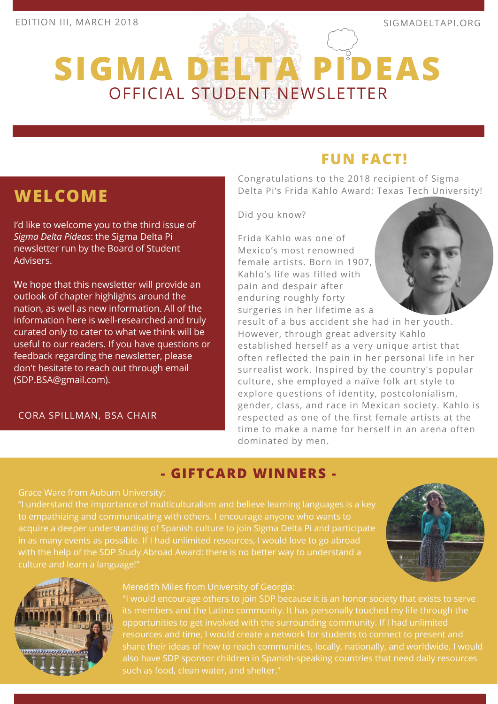**WELCOME**

(SDP.BSA@gmail.com).

Advisers.

I'd like to welcome you to the third issue of

We hope that this newsletter will provide an outlook of chapter highlights around the nation, as well as new information. All of the information here is well-researched and truly curated only to cater to what we think will be useful to our readers. If you have questions or feedback regarding the newsletter, please don't hesitate to reach out through email

*Sigma Delta Pideas*: the Sigma Delta Pi newsletter run by the Board of Student

# **SIGMA DELTA PIDEAS** OFFICIAL STUDENT NEWSLETTER

# **FUN FACT!**

Congratulations to the 2018 recipient of Sigma Delta Pi's Frida Kahlo Award: Texas Tech University!

Did you know?

Frida Kahlo was one of Mexico's most renowned female artists. Born in 1907, Kahlo's life was filled with pain and despair after enduring roughly forty surgeries in her lifetime as a

result of a bus accident she had in her youth. However, through great adversity Kahlo established herself as a very unique artist that often reflected the pain in her personal life in her surrealist work. Inspired by the country's popular culture, she employed a naïve folk art style to explore questions of identity, postcolonialism, gender, class, and race in Mexican society. Kahlo is respected as one of the first female artists at the time to make a name for herself in an arena often dominated by men.

## **- GIFTCARD WINNERS -**

#### Grace Ware from Auburn University:

CORA SPILLMAN, BSA CHAIR

"I understand the importance of multiculturalism and believe learning languages is a key to empathizing and communicating with others. I encourage anyone who wants to acquire a deeper understanding of Spanish culture to join Sigma Delta Pi and participate in as many events as possible. If I had unlimited resources, I would love to go abroad with the help of the SDP Study Abroad Award: there is no better way to understand a culture and learn a language!"





#### Meredith Miles from University of Georgia:

"I would encourage others to join SDP because it is an honor society that exists to serve its members and the Latino community. It has personally touched my life through the opportunities to get involved with the surrounding community. If I had unlimited share their ideas of how to reach communities, locally, nationally, and worldwide. I would also have SDP sponsor children in Spanish-speaking countries that need daily resources